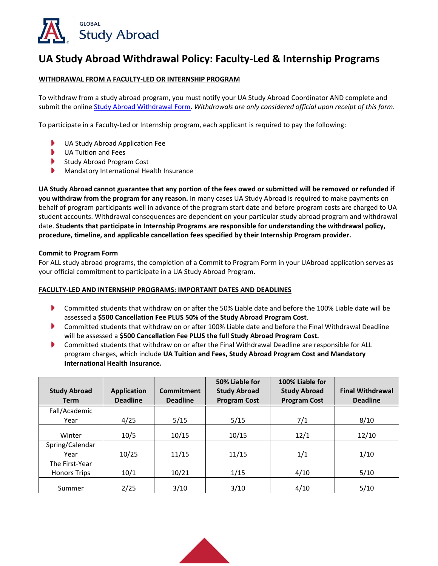

# **UA Study Abroad Withdrawal Policy: Faculty‐Led & Internship Programs**

## **WITHDRAWAL FROM A FACULTY‐LED OR INTERNSHIP PROGRAM**

To withdraw from a study abroad program, you must notify your UA Study Abroad Coordinator AND complete and submit the onlin[e Study Abroad Withdrawal Form](https://global.arizona.edu/study-abroad-withdrawal-form). *Withdrawals are only considered official upon receipt of this form*.

To participate in a Faculty‐Led or Internship program, each applicant is required to pay the following:

- $\blacktriangleright$ UA Study Abroad Application Fee
- $\blacktriangleright$ UA Tuition and Fees
- Study Abroad Program Cost
- Mandatory International Health Insurance

**UA Study Abroad cannot guarantee that any portion of the fees owed or submitted will be removed or refunded if you withdraw from the program for any reason.** In many cases UA Study Abroad is required to make payments on behalf of program participants well in advance of the program start date and before program costs are charged to UA student accounts. Withdrawal consequences are dependent on your particular study abroad program and withdrawal date. **Students that participate in Internship Programs are responsible for understanding the withdrawal policy, procedure, timeline, and applicable cancellation fees specified by their Internship Program provider.** 

### **Commit to Program Form**

For ALL study abroad programs, the completion of a Commit to Program Form in your UAbroad application serves as your official commitment to participate in a UA Study Abroad Program.

### **FACULTY‐LED AND INTERNSHIP PROGRAMS: IMPORTANT DATES AND DEADLINES**

- $\blacktriangleright$ Committed students that withdraw on or after the 50% Liable date and before the 100% Liable date will be assessed a **\$500 Cancellation Fee PLUS 50% of the Study Abroad Program Cost**.
- Committed students that withdraw on or after 100% Liable date and before the Final Withdrawal Deadline will be assessed a **\$500 Cancellation Fee PLUS the full Study Abroad Program Cost.**
- Þ Committed students that withdraw on or after the Final Withdrawal Deadline are responsible for ALL program charges, which include **UA Tuition and Fees, Study Abroad Program Cost and Mandatory International Health Insurance.**

|                                       |                    |                 | 50% Liable for      | 100% Liable for     |                         |
|---------------------------------------|--------------------|-----------------|---------------------|---------------------|-------------------------|
| <b>Study Abroad</b>                   | <b>Application</b> | Commitment      | <b>Study Abroad</b> | <b>Study Abroad</b> | <b>Final Withdrawal</b> |
| <b>Term</b>                           | <b>Deadline</b>    | <b>Deadline</b> | <b>Program Cost</b> | <b>Program Cost</b> | <b>Deadline</b>         |
| Fall/Academic                         |                    |                 |                     |                     |                         |
| Year                                  | 4/25               | 5/15            | 5/15                | 7/1                 | 8/10                    |
| Winter                                | 10/5               | 10/15           | 10/15               | 12/1                | 12/10                   |
| Spring/Calendar<br>Year               | 10/25              | 11/15           | 11/15               | 1/1                 | 1/10                    |
| The First-Year<br><b>Honors Trips</b> | 10/1               | 10/21           | 1/15                | 4/10                | 5/10                    |
| Summer                                | 2/25               | 3/10            | 3/10                | 4/10                | 5/10                    |